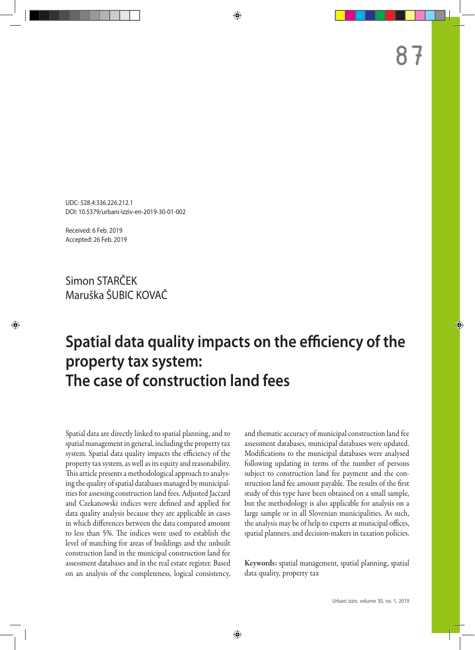UDC: 528.4:336.226.212.1 DOI: 10.5379/urbani-izziv-en-2019-30-01-002

Received: 6 Feb. 2019 Accepted: 26 Feb. 2019

Simon STARČEK Maruška ŠUBIC KOVAČ

# **Spatial data quality impacts on the efficiency of the property tax system: The case of construction land fees**

Spatial data are directly linked to spatial planning, and to spatial management in general, including the property tax system. Spatial data quality impacts the efficiency of the property tax system, as well as its equity and reasonability. This article presents a methodological approach to analysing the quality of spatial databases managed by municipalities for assessing construction land fees. Adjusted Jaccard and Czekanowski indices were defined and applied for data quality analysis because they are applicable in cases in which differences between the data compared amount to less than 5%. The indices were used to establish the level of matching for areas of buildings and the unbuilt construction land in the municipal construction land fee assessment databases and in the real estate register. Based on an analysis of the completeness, logical consistency, and thematic accuracy of municipal construction land fee assessment databases, municipal databases were updated. Modifications to the municipal databases were analysed following updating in terms of the number of persons subject to construction land fee payment and the construction land fee amount payable. The results of the first study of this type have been obtained on a small sample, but the methodology is also applicable for analysis on a large sample or in all Slovenian municipalities. As such, the analysis may be of help to experts at municipal offices, spatial planners, and decision-makers in taxation policies.

Keywords: spatial management, spatial planning, spatial data quality, property tax

87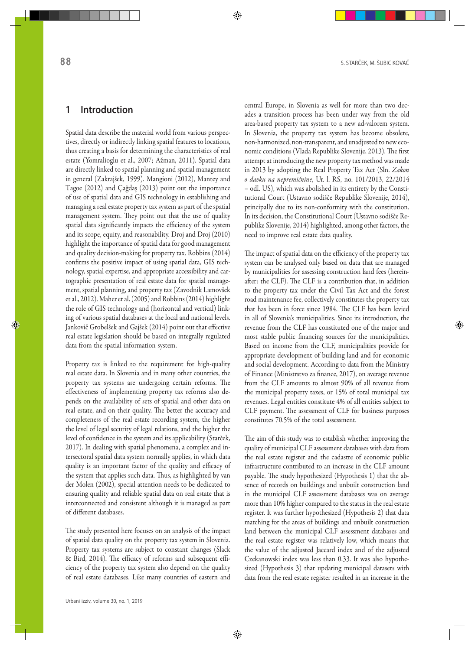## **1 Introduction**

Spatial data describe the material world from various perspectives, directly or indirectly linking spatial features to locations, thus creating a basis for determining the characteristics of real estate (Yomralioglu et al., 2007; Ažman, 2011). Spatial data are directly linked to spatial planning and spatial management in general (Zakrajšek, 1999). Mangioni (2012), Mantey and Tagoe (2012) and Çağdaş (2013) point out the importance of use of spatial data and GIS technology in establishing and managing a real estate property tax system as part of the spatial management system. They point out that the use of quality spatial data significantly impacts the efficiency of the system and its scope, equity, and reasonability. Droj and Droj (2010) highlight the importance of spatial data for good management and quality decision-making for property tax. Robbins (2014) confirms the positive impact of using spatial data, GIS technology, spatial expertise, and appropriate accessibility and cartographic presentation of real estate data for spatial management, spatial planning, and property tax (Zavodnik Lamovšek et al., 2012). Maher et al. (2005) and Robbins (2014) highlight the role of GIS technology and (horizontal and vertical) linking of various spatial databases at the local and national levels. Jankovič Grobelšek and Gajšek (2014) point out that effective real estate legislation should be based on integrally regulated data from the spatial information system.

Property tax is linked to the requirement for high-quality real estate data. In Slovenia and in many other countries, the property tax systems are undergoing certain reforms. The effectiveness of implementing property tax reforms also depends on the availability of sets of spatial and other data on real estate, and on their quality. The better the accuracy and completeness of the real estate recording system, the higher the level of legal security of legal relations, and the higher the level of confidence in the system and its applicability (Starček, 2017). In dealing with spatial phenomena, a complex and intersectoral spatial data system normally applies, in which data quality is an important factor of the quality and efficacy of the system that applies such data. Thus, as highlighted by van der Molen (2002), special attention needs to be dedicated to ensuring quality and reliable spatial data on real estate that is interconnected and consistent although it is managed as part of different databases.

The study presented here focuses on an analysis of the impact of spatial data quality on the property tax system in Slovenia. Property tax systems are subject to constant changes (Slack & Bird, 2014). The efficacy of reforms and subsequent efficiency of the property tax system also depend on the quality of real estate databases. Like many countries of eastern and central Europe, in Slovenia as well for more than two decades a transition process has been under way from the old area-based property tax system to a new ad-valorem system. In Slovenia, the property tax system has become obsolete, non-harmonized, non-transparent, and unadjusted to new economic conditions (Vlada Republike Slovenije, 2013). The first attempt at introducing the new property tax method was made in 2013 by adopting the Real Property Tax Act (Sln. *Zakon o davku na nepremičnine*, Ur. l. RS, no. 101/2013, 22/2014 – odl. US), which was abolished in its entirety by the Constitutional Court (Ustavno sodišče Republike Slovenije, 2014), principally due to its non-conformity with the constitution. In its decision, the Constitutional Court (Ustavno sodišče Republike Slovenije, 2014) highlighted, among other factors, the need to improve real estate data quality.

The impact of spatial data on the efficiency of the property tax system can be analysed only based on data that are managed by municipalities for assessing construction land fees (hereinafter: the CLF). The CLF is a contribution that, in addition to the property tax under the Civil Tax Act and the forest road maintenance fee, collectively constitutes the property tax that has been in force since 1984. The CLF has been levied in all of Slovenia's municipalities. Since its introduction, the revenue from the CLF has constituted one of the major and most stable public financing sources for the municipalities. Based on income from the CLF, municipalities provide for appropriate development of building land and for economic and social development. According to data from the Ministry of Finance (Ministrstvo za finance, 2017), on average revenue from the CLF amounts to almost 90% of all revenue from the municipal property taxes, or 15% of total municipal tax revenues. Legal entities constitute 4% of all entities subject to CLF payment. The assessment of CLF for business purposes constitutes 70.5% of the total assessment.

The aim of this study was to establish whether improving the quality of municipal CLF assessment databases with data from the real estate register and the cadastre of economic public infrastructure contributed to an increase in the CLF amount payable. The study hypothesized (Hypothesis 1) that the absence of records on buildings and unbuilt construction land in the municipal CLF assessment databases was on average more than 10% higher compared to the status in the real estate register. It was further hypothesized (Hypothesis 2) that data matching for the areas of buildings and unbuilt construction land between the municipal CLF assessment databases and the real estate register was relatively low, which means that the value of the adjusted Jaccard index and of the adjusted Czekanowski index was less than 0.33. It was also hypothesized (Hypothesis 3) that updating municipal datasets with data from the real estate register resulted in an increase in the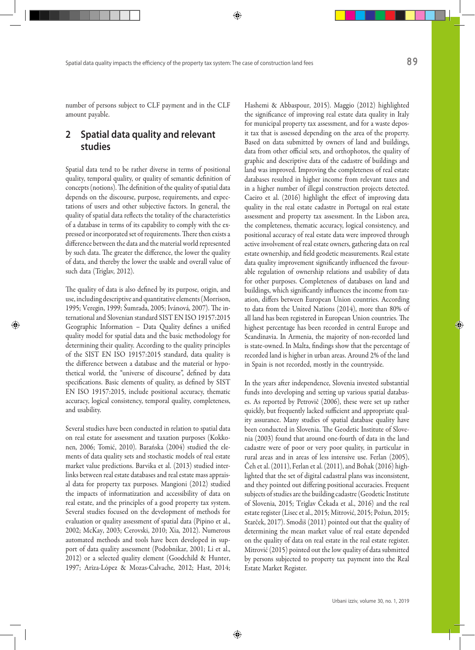number of persons subject to CLF payment and in the CLF amount payable.

# **2 Spatial data quality and relevant studies**

Spatial data tend to be rather diverse in terms of positional quality, temporal quality, or quality of semantic definition of concepts (notions). The definition of the quality of spatial data depends on the discourse, purpose, requirements, and expectations of users and other subjective factors. In general, the quality of spatial data reflects the totality of the characteristics of a database in terms of its capability to comply with the expressed or incorporated set of requirements. There then exists a difference between the data and the material world represented by such data. The greater the difference, the lower the quality of data, and thereby the lower the usable and overall value of such data (Triglav, 2012).

The quality of data is also defined by its purpose, origin, and use, including descriptive and quantitative elements (Morrison, 1995; Veregin, 1999; Šumrada, 2005; Ivánová, 2007). The international and Slovenian standard SIST EN ISO 19157:2015 Geographic Information – Data Quality defines a unified quality model for spatial data and the basic methodology for determining their quality. According to the quality principles of the SIST EN ISO 19157:2015 standard, data quality is the difference between a database and the material or hypothetical world, the "universe of discourse", defined by data specifications. Basic elements of quality, as defined by SIST EN ISO 19157:2015, include positional accuracy, thematic accuracy, logical consistency, temporal quality, completeness, and usability.

Several studies have been conducted in relation to spatial data on real estate for assessment and taxation purposes (Kokkonen, 2006; Tomić, 2010). Barańska (2004) studied the elements of data quality sets and stochastic models of real estate market value predictions. Barvika et al. (2013) studied interlinks between real estate databases and real estate mass appraisal data for property tax purposes. Mangioni (2012) studied the impacts of informatization and accessibility of data on real estate, and the principles of a good property tax system. Several studies focused on the development of methods for evaluation or quality assessment of spatial data (Pipino et al., 2002; McKay, 2003; Cerovski, 2010; Xia, 2012). Numerous automated methods and tools have been developed in support of data quality assessment (Podobnikar, 2001; Li et al., 2012) or a selected quality element (Goodchild & Hunter, 1997; Ariza-López & Mozas-Calvache, 2012; Hast, 2014; Hashemi & Abbaspour, 2015). Maggio (2012) highlighted the significance of improving real estate data quality in Italy for municipal property tax assessment, and for a waste deposit tax that is assessed depending on the area of the property. Based on data submitted by owners of land and buildings, data from other official sets, and orthophotos, the quality of graphic and descriptive data of the cadastre of buildings and land was improved. Improving the completeness of real estate databases resulted in higher income from relevant taxes and in a higher number of illegal construction projects detected. Caeiro et al. (2016) highlight the effect of improving data quality in the real estate cadastre in Portugal on real estate assessment and property tax assessment. In the Lisbon area, the completeness, thematic accuracy, logical consistency, and positional accuracy of real estate data were improved through active involvement of real estate owners, gathering data on real estate ownership, and field geodetic measurements. Real estate data quality improvement significantly influenced the favourable regulation of ownership relations and usability of data for other purposes. Completeness of databases on land and buildings, which significantly influences the income from taxation, differs between European Union countries. According to data from the United Nations (2014), more than 80% of all land has been registered in European Union countries. The highest percentage has been recorded in central Europe and Scandinavia. In Armenia, the majority of non-recorded land is state-owned. In Malta, findings show that the percentage of recorded land is higher in urban areas. Around 2% of the land in Spain is not recorded, mostly in the countryside.

In the years after independence, Slovenia invested substantial funds into developing and setting up various spatial databases. As reported by Petrovič (2006), these were set up rather quickly, but frequently lacked sufficient and appropriate quality assurance. Many studies of spatial database quality have been conducted in Slovenia. The Geodetic Institute of Slovenia (2003) found that around one-fourth of data in the land cadastre were of poor or very poor quality, in particular in rural areas and in areas of less intensive use. Ferlan (2005), Čeh et al. (2011), Ferlan et al. (2011), and Bohak (2016) highlighted that the set of digital cadastral plans was inconsistent, and they pointed out differing positional accuracies. Frequent subjects of studies are the building cadastre (Geodetic Institute of Slovenia, 2015; Triglav Čekada et al., 2016) and the real estate register (Lisec et al., 2015; Mitrović, 2015; Požun, 2015; Starček, 2017). Smodiš (2011) pointed out that the quality of determining the mean market value of real estate depended on the quality of data on real estate in the real estate register. Mitrović (2015) pointed out the low quality of data submitted by persons subjected to property tax payment into the Real Estate Market Register.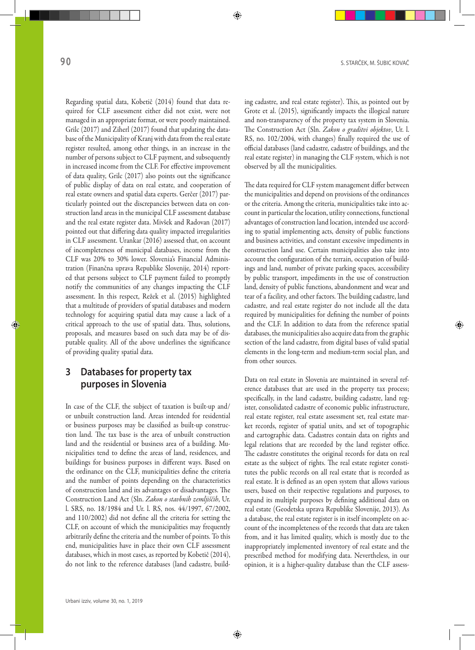Regarding spatial data, Kobetič (2014) found that data required for CLF assessment either did not exist, were not managed in an appropriate format, or were poorly maintained. Grilc (2017) and Ziherl (2017) found that updating the database of the Municipality of Kranj with data from the real estate register resulted, among other things, in an increase in the number of persons subject to CLF payment, and subsequently in increased income from the CLF. For effective improvement of data quality, Grilc (2017) also points out the significance of public display of data on real estate, and cooperation of real estate owners and spatial data experts. Gerčer (2017) particularly pointed out the discrepancies between data on construction land areas in the municipal CLF assessment database and the real estate register data. Mivšek and Radovan (2017) pointed out that differing data quality impacted irregularities in CLF assessment. Urankar (2016) assessed that, on account of incompleteness of municipal databases, income from the CLF was 20% to 30% lower. Slovenia's Financial Administration (Finančna uprava Republike Slovenije, 2014) reported that persons subject to CLF payment failed to promptly notify the communities of any changes impacting the CLF assessment. In this respect, Režek et al. (2015) highlighted that a multitude of providers of spatial databases and modern technology for acquiring spatial data may cause a lack of a critical approach to the use of spatial data. Thus, solutions, proposals, and measures based on such data may be of disputable quality. All of the above underlines the significance of providing quality spatial data.

# **3 Databases for property tax purposes in Slovenia**

In case of the CLF, the subject of taxation is built-up and/ or unbuilt construction land. Areas intended for residential or business purposes may be classified as built-up construction land. The tax base is the area of unbuilt construction land and the residential or business area of a building. Municipalities tend to define the areas of land, residences, and buildings for business purposes in different ways. Based on the ordinance on the CLF, municipalities define the criteria and the number of points depending on the characteristics of construction land and its advantages or disadvantages. The Construction Land Act (Sln. *Zakon o stavbnih zemljiščih*, Ur. l. SRS, no. 18/1984 and Ur. l. RS, nos. 44/1997, 67/2002, and 110/2002) did not define all the criteria for setting the CLF, on account of which the municipalities may frequently arbitrarily define the criteria and the number of points. To this end, municipalities have in place their own CLF assessment databases, which in most cases, as reported by Kobetič (2014), do not link to the reference databases (land cadastre, building cadastre, and real estate register). This, as pointed out by Grote et al. (2015), significantly impacts the illogical nature and non-transparency of the property tax system in Slovenia. The Construction Act (Sln. *Zakon o graditvi objektov*, Ur. l. RS, no. 102/2004, with changes) finally required the use of official databases (land cadastre, cadastre of buildings, and the real estate register) in managing the CLF system, which is not observed by all the municipalities.

The data required for CLF system management differ between the municipalities and depend on provisions of the ordinances or the criteria. Among the criteria, municipalities take into account in particular the location, utility connections, functional advantages of construction land location, intended use according to spatial implementing acts, density of public functions and business activities, and constant excessive impediments in construction land use. Certain municipalities also take into account the configuration of the terrain, occupation of buildings and land, number of private parking spaces, accessibility by public transport, impediments in the use of construction land, density of public functions, abandonment and wear and tear of a facility, and other factors. The building cadastre, land cadastre, and real estate register do not include all the data required by municipalities for defining the number of points and the CLF. In addition to data from the reference spatial databases, the municipalities also acquire data from the graphic section of the land cadastre, from digital bases of valid spatial elements in the long-term and medium-term social plan, and from other sources.

Data on real estate in Slovenia are maintained in several reference databases that are used in the property tax process; specifically, in the land cadastre, building cadastre, land register, consolidated cadastre of economic public infrastructure, real estate register, real estate assessment set, real estate market records, register of spatial units, and set of topographic and cartographic data. Cadastres contain data on rights and legal relations that are recorded by the land register office. The cadastre constitutes the original records for data on real estate as the subject of rights. The real estate register constitutes the public records on all real estate that is recorded as real estate. It is defined as an open system that allows various users, based on their respective regulations and purposes, to expand its multiple purposes by defining additional data on real estate (Geodetska uprava Republike Slovenije, 2013). As a database, the real estate register is in itself incomplete on account of the incompleteness of the records that data are taken from, and it has limited quality, which is mostly due to the inappropriately implemented inventory of real estate and the prescribed method for modifying data. Nevertheless, in our opinion, it is a higher-quality database than the CLF assess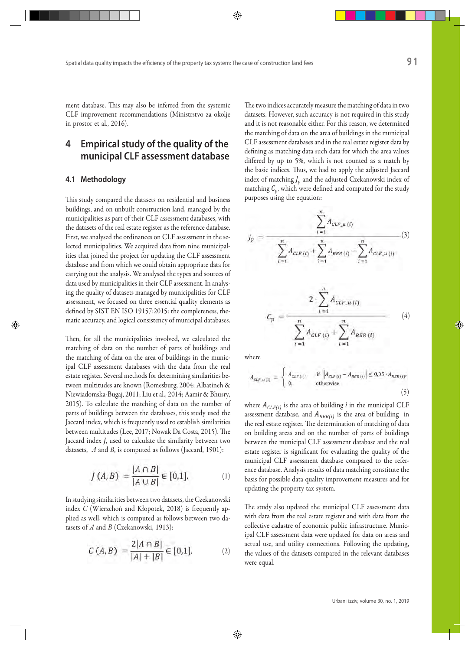ment database. This may also be inferred from the systemic CLF improvement recommendations (Ministrstvo za okolje in prostor et al., 2016).

# **4 Empirical study of the quality of the municipal CLF assessment database**

#### **4.1 Methodology**

This study compared the datasets on residential and business buildings, and on unbuilt construction land, managed by the municipalities as part of their CLF assessment databases, with the datasets of the real estate register as the reference database. First, we analysed the ordinances on CLF assessment in the selected municipalities. We acquired data from nine municipalities that joined the project for updating the CLF assessment database and from which we could obtain appropriate data for carrying out the analysis. We analysed the types and sources of data used by municipalities in their CLF assessment. In analysing the quality of datasets managed by municipalities for CLF assessment, we focused on three essential quality elements as defined by SIST EN ISO 19157:2015: the completeness, thematic accuracy, and logical consistency of municipal databases.

Then, for all the municipalities involved, we calculated the matching of data on the number of parts of buildings and the matching of data on the area of buildings in the municipal CLF assessment databases with the data from the real estate register. Several methods for determining similarities between multitudes are known (Romesburg, 2004; Albatineh & Niewiadomska-Bugaj, 2011; Liu et al., 2014; Aamir & Bhusry, 2015). To calculate the matching of data on the number of parts of buildings between the databases, this study used the Jaccard index, which is frequently used to establish similarities between multitudes (Lee, 2017; Nowak Da Costa, 2015). The Jaccard index *J*, used to calculate the similarity between two datasets, *A* and *B*, is computed as follows (Jaccard, 1901):

$$
J(A, B) = \frac{|A \cap B|}{|A \cup B|} \in [0, 1].
$$
 (1)

In studying similarities between two datasets, the Czekanowski index *C* (Wierzchoń and Kłopotek, 2018) is frequently applied as well, which is computed as follows between two datasets of *A* and *B* (Czekanowski, 1913):

$$
C(A,B) = \frac{2|A \cap B|}{|A| + |B|} \in [0,1].
$$
 (2)

The two indices accurately measure the matching of data in two datasets. However, such accuracy is not required in this study and it is not reasonable either. For this reason, we determined the matching of data on the area of buildings in the municipal CLF assessment databases and in the real estate register data by defining as matching data such data for which the area values differed by up to 5%, which is not counted as a match by the basic indices. Thus, we had to apply the adjusted Jaccard index of matching *Jp* and the adjusted Czekanowski index of matching  $C_p$ , which were defined and computed for the study purposes using the equation:

$$
J_p = \frac{\sum_{i=1}^{n} A_{CLF_{\_H}(i)}}{(3)}
$$
  

$$
J_p = \frac{\sum_{i=1}^{n} A_{CLF_{\_L}(i)} - \sum_{i=1}^{n} A_{CLF_{\_H}(i)}}{(3)}
$$
  

$$
C_p = \frac{2 \cdot \sum_{i=1}^{n} A_{CLF_{\_L}(i)}}{\sum_{i=1}^{n} A_{CLF_{.L}(i)} + \sum_{i=1}^{n} A_{RER_{.L}(i)}}
$$
  
(4)

where

$$
A_{CLF,u(t)} = \begin{cases} A_{CLF(t)} & \text{if } |A_{CLF(t)} - A_{REF(t)}| \le 0.05 \cdot A_{REF(t)}, \\ 0, & \text{otherwise} \end{cases}
$$
(5)

where  $A_{CLF(i)}$  is the area of building *i* in the municipal CLF assessment database, and  $A_{RER(i)}$  is the area of building in the real estate register. The determination of matching of data on building areas and on the number of parts of buildings between the municipal CLF assessment database and the real estate register is significant for evaluating the quality of the municipal CLF assessment database compared to the reference database. Analysis results of data matching constitute the basis for possible data quality improvement measures and for updating the property tax system.

The study also updated the municipal CLF assessment data with data from the real estate register and with data from the collective cadastre of economic public infrastructure. Municipal CLF assessment data were updated for data on areas and actual use, and utility connections. Following the updating, the values of the datasets compared in the relevant databases were equal.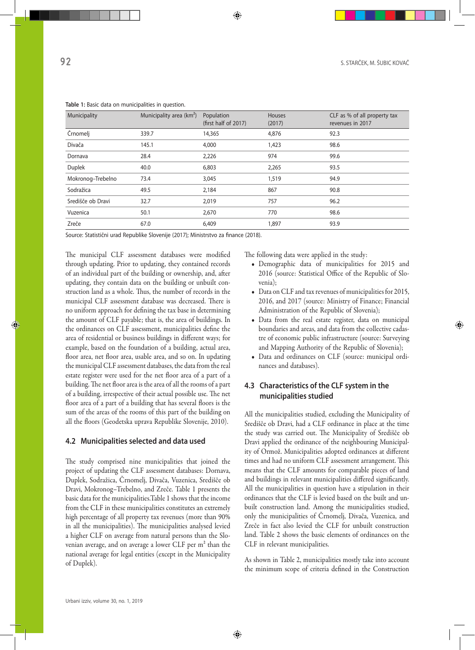| Municipality      | Municipality area (km <sup>2</sup> ) | Population<br>(first half of 2017) | Houses<br>(2017) | CLF as % of all property tax<br>revenues in 2017 |  |
|-------------------|--------------------------------------|------------------------------------|------------------|--------------------------------------------------|--|
| Črnomelj          | 339.7                                | 14,365                             | 4,876            | 92.3                                             |  |
| Divača            | 145.1                                | 4,000                              | 1,423            | 98.6                                             |  |
| Dornava           | 28.4                                 | 2,226                              | 974              | 99.6                                             |  |
| Duplek            | 40.0                                 | 6,803                              | 2,265            | 93.5                                             |  |
| Mokronog-Trebelno | 73.4                                 | 3,045                              | 1,519            | 94.9                                             |  |
| Sodražica         | 49.5                                 | 2,184                              | 867              | 90.8                                             |  |
| Središče ob Dravi | 32.7                                 | 2,019                              | 757              | 96.2                                             |  |
| Vuzenica          | 50.1                                 | 2,670                              | 770              | 98.6                                             |  |
| Zreče             | 67.0                                 | 6,409                              | 1,897            | 93.9                                             |  |

**Table 1:** Basic data on municipalities in question.

Source: Statistični urad Republike Slovenije (2017); Ministrstvo za finance (2018).

The municipal CLF assessment databases were modified through updating. Prior to updating, they contained records of an individual part of the building or ownership, and, after updating, they contain data on the building or unbuilt construction land as a whole. Thus, the number of records in the municipal CLF assessment database was decreased. There is no uniform approach for defining the tax base in determining the amount of CLF payable; that is, the area of buildings. In the ordinances on CLF assessment, municipalities define the area of residential or business buildings in different ways; for example, based on the foundation of a building, actual area, floor area, net floor area, usable area, and so on. In updating the municipal CLF assessment databases, the data from the real estate register were used for the net floor area of a part of a building. The net floor area is the area of all the rooms of a part of a building, irrespective of their actual possible use. The net floor area of a part of a building that has several floors is the sum of the areas of the rooms of this part of the building on all the floors (Geodetska uprava Republike Slovenije, 2010).

#### **4.2 Municipalities selected and data used**

The study comprised nine municipalities that joined the project of updating the CLF assessment databases: Dornava, Duplek, Sodražica, Črnomelj, Divača, Vuzenica, Središče ob Dravi, Mokronog–Trebelno, and Zreče. Table 1 presents the basic data for the municipalities.Table 1 shows that the income from the CLF in these municipalities constitutes an extremely high percentage of all property tax revenues (more than 90% in all the municipalities). The municipalities analysed levied a higher CLF on average from natural persons than the Slovenian average, and on average a lower CLF per m<sup>2</sup> than the national average for legal entities (except in the Municipality of Duplek).

The following data were applied in the study:

- Demographic data of municipalities for 2015 and 2016 (source: Statistical Office of the Republic of Slovenia);
- Data on CLF and tax revenues of municipalities for 2015, 2016, and 2017 (source: Ministry of Finance; Financial Administration of the Republic of Slovenia);
- Data from the real estate register, data on municipal boundaries and areas, and data from the collective cadastre of economic public infrastructure (source: Surveying and Mapping Authority of the Republic of Slovenia);
- Data and ordinances on CLF (source: municipal ordinances and databases).

## **4.3 Characteristics of the CLF system in the municipalities studied**

All the municipalities studied, excluding the Municipality of Središče ob Dravi, had a CLF ordinance in place at the time the study was carried out. The Municipality of Središče ob Dravi applied the ordinance of the neighbouring Municipality of Ormož. Municipalities adopted ordinances at different times and had no uniform CLF assessment arrangement. This means that the CLF amounts for comparable pieces of land and buildings in relevant municipalities differed significantly. All the municipalities in question have a stipulation in their ordinances that the CLF is levied based on the built and unbuilt construction land. Among the municipalities studied, only the municipalities of Črnomelj, Divača, Vuzenica, and Zreče in fact also levied the CLF for unbuilt construction land. Table 2 shows the basic elements of ordinances on the CLF in relevant municipalities.

As shown in Table 2, municipalities mostly take into account the minimum scope of criteria defined in the Construction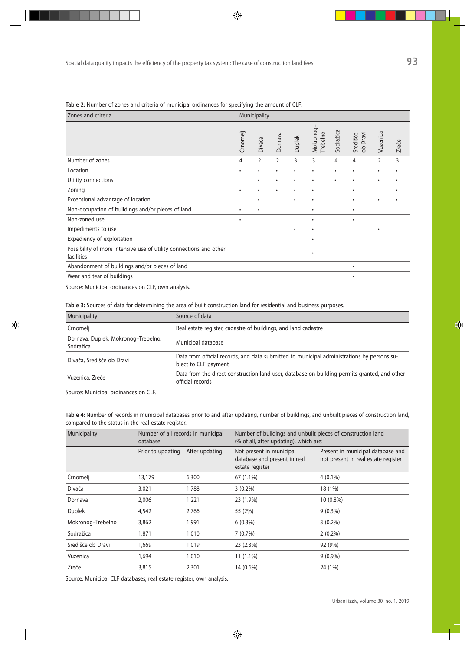| Zones and criteria                                                               |           | Municipality   |                |           |                       |           |                      |                |       |
|----------------------------------------------------------------------------------|-----------|----------------|----------------|-----------|-----------------------|-----------|----------------------|----------------|-------|
|                                                                                  | Črnomelj  | Divača         | Dornava        | Duplek    | Mokronog-<br>Trebelno | Sodražica | ob Dravi<br>Središče | Vuzenica       | Zreče |
| Number of zones                                                                  | 4         | $\overline{2}$ | $\overline{2}$ | 3         | 3                     | 4         | 4                    | $\overline{2}$ | 3     |
| Location                                                                         | $\bullet$ | ٠              | ٠              | ٠         | ٠                     | ٠         | $\bullet$            | $\bullet$      | ٠     |
| Utility connections                                                              |           | ٠              | ٠              | ٠         | ٠                     | ٠         | $\bullet$            | $\bullet$      | ٠     |
| Zoning                                                                           | $\bullet$ | ٠              | ٠              | ٠         | ٠                     |           | $\bullet$            |                | ٠     |
| Exceptional advantage of location                                                |           | ٠              |                | $\bullet$ | $\bullet$             |           | $\bullet$            | $\bullet$      | ٠     |
| Non-occupation of buildings and/or pieces of land                                | $\bullet$ | ٠              |                |           | $\bullet$             |           | $\bullet$            |                |       |
| Non-zoned use                                                                    | $\bullet$ |                |                |           | ٠                     |           | $\bullet$            |                |       |
| Impediments to use                                                               |           |                |                | ٠         | ٠                     |           |                      | $\bullet$      |       |
| Expediency of exploitation                                                       |           |                |                |           | $\bullet$             |           |                      |                |       |
| Possibility of more intensive use of utility connections and other<br>facilities |           |                |                |           | $\bullet$             |           |                      |                |       |
| Abandonment of buildings and/or pieces of land                                   |           |                |                |           |                       |           | $\bullet$            |                |       |
| Wear and tear of buildings                                                       |           |                |                |           |                       |           | $\bullet$            |                |       |
|                                                                                  |           |                |                |           |                       |           |                      |                |       |

**Table 2:** Number of zones and criteria of municipal ordinances for specifying the amount of CLF.

Source: Municipal ordinances on CLF, own analysis.

**Table 3:** Sources of data for determining the area of built construction land for residential and business purposes.

| Municipality                                     | Source of data                                                                                                     |
|--------------------------------------------------|--------------------------------------------------------------------------------------------------------------------|
| Crnomelj                                         | Real estate register, cadastre of buildings, and land cadastre                                                     |
| Dornava, Duplek, Mokronog-Trebelno,<br>Sodražica | Municipal database                                                                                                 |
| Divača, Središče ob Dravi                        | Data from official records, and data submitted to municipal administrations by persons su-<br>bject to CLF payment |
| Vuzenica, Zreče                                  | Data from the direct construction land user, database on building permits granted, and other<br>official records   |

Source: Municipal ordinances on CLF.

**Table 4:** Number of records in municipal databases prior to and after updating, number of buildings, and unbuilt pieces of construction land, compared to the status in the real estate register.

| Municipality      | Number of all records in municipal<br>database: |                                                                                               | Number of buildings and unbuilt pieces of construction land<br>(% of all, after updating), which are: |                                                                          |  |  |  |
|-------------------|-------------------------------------------------|-----------------------------------------------------------------------------------------------|-------------------------------------------------------------------------------------------------------|--------------------------------------------------------------------------|--|--|--|
|                   | Prior to updating                               | After updating<br>Not present in municipal<br>database and present in real<br>estate register |                                                                                                       | Present in municipal database and<br>not present in real estate register |  |  |  |
| Crnomelj          | 13,179                                          | 6,300                                                                                         | 67 (1.1%)                                                                                             | $4(0.1\%)$                                                               |  |  |  |
| Divača            | 3,021                                           | 1,788                                                                                         | $3(0.2\%)$                                                                                            | 18 (1%)                                                                  |  |  |  |
| Dornava           | 2,006                                           | 1,221                                                                                         | 23 (1.9%)                                                                                             | $10(0.8\%)$                                                              |  |  |  |
| Duplek            | 4,542                                           | 2,766                                                                                         | 55 (2%)                                                                                               | $9(0.3\%)$                                                               |  |  |  |
| Mokronog-Trebelno | 3,862                                           | 1,991                                                                                         | $6(0.3\%)$                                                                                            | $3(0.2\%)$                                                               |  |  |  |
| Sodražica         | 1,871                                           | 1,010                                                                                         | 7(0.7%)                                                                                               | $2(0.2\%)$                                                               |  |  |  |
| Središče ob Dravi | 1,669                                           | 1,019                                                                                         | 23(2.3%)                                                                                              | 92 (9%)                                                                  |  |  |  |
| Vuzenica          | 1,694                                           | 1,010                                                                                         | $11(1.1\%)$                                                                                           | $9(0.9\%)$                                                               |  |  |  |
| Zreče             | 3,815                                           | 2,301                                                                                         | 14 (0.6%)                                                                                             | 24 (1%)                                                                  |  |  |  |

Source: Municipal CLF databases, real estate register, own analysis.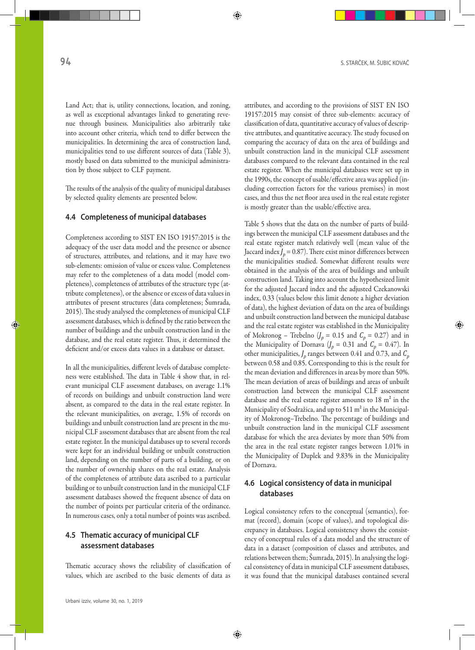Land Act; that is, utility connections, location, and zoning, as well as exceptional advantages linked to generating revenue through business. Municipalities also arbitrarily take into account other criteria, which tend to differ between the municipalities. In determining the area of construction land, municipalities tend to use different sources of data (Table 3), mostly based on data submitted to the municipal administration by those subject to CLF payment.

The results of the analysis of the quality of municipal databases by selected quality elements are presented below.

#### **4.4 Completeness of municipal databases**

Completeness according to SIST EN ISO 19157:2015 is the adequacy of the user data model and the presence or absence of structures, attributes, and relations, and it may have two sub-elements: omission of value or excess value. Completeness may refer to the completeness of a data model (model completeness), completeness of attributes of the structure type (attribute completeness), or the absence or excess of data values in attributes of present structures (data completeness; Šumrada, 2015). The study analysed the completeness of municipal CLF assessment databases, which is defined by the ratio between the number of buildings and the unbuilt construction land in the database, and the real estate register. Thus, it determined the deficient and/or excess data values in a database or dataset.

In all the municipalities, different levels of database completeness were established. The data in Table 4 show that, in relevant municipal CLF assessment databases, on average 1.1% of records on buildings and unbuilt construction land were absent, as compared to the data in the real estate register. In the relevant municipalities, on average, 1.5% of records on buildings and unbuilt construction land are present in the municipal CLF assessment databases that are absent from the real estate register. In the municipal databases up to several records were kept for an individual building or unbuilt construction land, depending on the number of parts of a building, or on the number of ownership shares on the real estate. Analysis of the completeness of attribute data ascribed to a particular building or to unbuilt construction land in the municipal CLF assessment databases showed the frequent absence of data on the number of points per particular criteria of the ordinance. In numerous cases, only a total number of points was ascribed.

#### **4.5 Thematic accuracy of municipal CLF assessment databases**

Thematic accuracy shows the reliability of classification of values, which are ascribed to the basic elements of data as

attributes, and according to the provisions of SIST EN ISO 19157:2015 may consist of three sub-elements: accuracy of classification of data, quantitative accuracy of values of descriptive attributes, and quantitative accuracy. The study focused on comparing the accuracy of data on the area of buildings and unbuilt construction land in the municipal CLF assessment databases compared to the relevant data contained in the real estate register. When the municipal databases were set up in the 1990s, the concept of usable/effective area was applied (including correction factors for the various premises) in most cases, and thus the net floor area used in the real estate register is mostly greater than the usable/effective area.

Table 5 shows that the data on the number of parts of buildings between the municipal CLF assessment databases and the real estate register match relatively well (mean value of the Jaccard index  $J_p = 0.87$ ). There exist minor differences between the municipalities studied. Somewhat different results were obtained in the analysis of the area of buildings and unbuilt construction land. Taking into account the hypothesized limit for the adjusted Jaccard index and the adjusted Czekanowski index, 0.33 (values below this limit denote a higher deviation of data), the highest deviation of data on the area of buildings and unbuilt construction land between the municipal database and the real estate register was established in the Municipality of Mokronog – Trebelno  $(J_p = 0.15$  and  $C_p = 0.27)$  and in the Municipality of Dornava  $(J_p = 0.31 \text{ and } C_p = 0.47)$ . In other municipalities,  $J_p$  ranges between 0.41 and 0.73, and  $C_p$ between 0.58 and 0.85. Corresponding to this is the result for the mean deviation and differences in areas by more than 50%. The mean deviation of areas of buildings and areas of unbuilt construction land between the municipal CLF assessment database and the real estate register amounts to 18 m² in the Municipality of Sodražica, and up to 511 m² in the Municipality of Mokronog–Trebelno. The percentage of buildings and unbuilt construction land in the municipal CLF assessment database for which the area deviates by more than 50% from the area in the real estate register ranges between 1.01% in the Municipality of Duplek and 9.83% in the Municipality of Dornava.

## **4.6 Logical consistency of data in municipal databases**

Logical consistency refers to the conceptual (semantics), format (record), domain (scope of values), and topological discrepancy in databases. Logical consistency shows the consistency of conceptual rules of a data model and the structure of data in a dataset (composition of classes and attributes, and relations between them; Šumrada, 2015). In analysing the logical consistency of data in municipal CLF assessment databases, it was found that the municipal databases contained several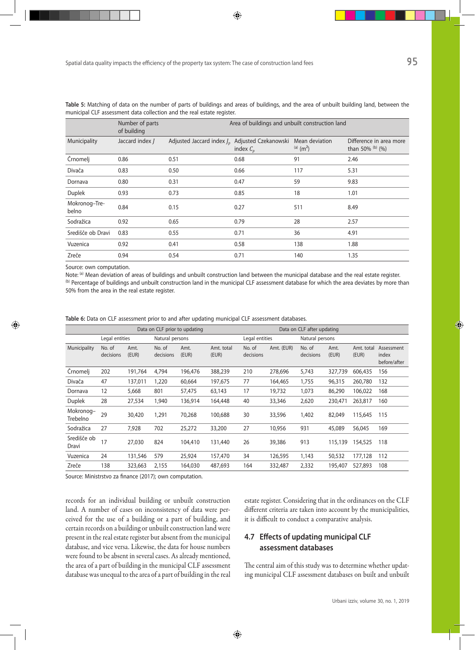|                        | Number of parts<br>of building | Area of buildings and unbuilt construction land |                                     |                                           |                                             |  |  |
|------------------------|--------------------------------|-------------------------------------------------|-------------------------------------|-------------------------------------------|---------------------------------------------|--|--|
| Municipality           | Jaccard index J                | Adjusted Jaccard index $J_p$                    | Adjusted Czekanowski<br>index $C_n$ | Mean deviation<br>$(a)$ (m <sup>2</sup> ) | Difference in area more<br>than 50% (b) (%) |  |  |
| Črnomelj               | 0.86                           | 0.51                                            | 0.68                                | 91                                        | 2.46                                        |  |  |
| Divača                 | 0.83                           | 0.50                                            | 0.66                                | 117                                       | 5.31                                        |  |  |
| Dornava                | 0.80                           | 0.31                                            | 0.47                                | 59                                        | 9.83                                        |  |  |
| Duplek                 | 0.93                           | 0.73                                            | 0.85                                | 18                                        | 1.01                                        |  |  |
| Mokronog-Tre-<br>belno | 0.84                           | 0.15                                            | 0.27                                | 511                                       | 8.49                                        |  |  |
| Sodražica              | 0.92                           | 0.65                                            | 0.79                                | 28                                        | 2.57                                        |  |  |
| Središče ob Dravi      | 0.83                           | 0.55                                            | 0.71                                | 36                                        | 4.91                                        |  |  |
| Vuzenica               | 0.92                           | 0.41                                            | 0.58                                | 138                                       | 1.88                                        |  |  |
| Zreče                  | 0.94                           | 0.54                                            | 0.71                                | 140                                       | 1.35                                        |  |  |

**Table 5:** Matching of data on the number of parts of buildings and areas of buildings, and the area of unbuilt building land, between the municipal CLF assessment data collection and the real estate register.

Source: own computation.

Note: (a) Mean deviation of areas of buildings and unbuilt construction land between the municipal database and the real estate register. (b) Percentage of buildings and unbuilt construction land in the municipal CLF assessment database for which the area deviates by more than 50% from the area in the real estate register.

|                       | Data on CLF prior to updating |               |                     |               | Data on CLF after updating |                     |                 |                     |               |                     |                                     |
|-----------------------|-------------------------------|---------------|---------------------|---------------|----------------------------|---------------------|-----------------|---------------------|---------------|---------------------|-------------------------------------|
|                       | Legal entities                |               | Natural persons     |               | Legal entities             |                     | Natural persons |                     |               |                     |                                     |
| Municipality          | No. of<br>decisions           | Amt.<br>(EUR) | No. of<br>decisions | Amt.<br>(EUR) | Amt. total<br>(EUR)        | No. of<br>decisions | Amt. (EUR)      | No. of<br>decisions | Amt.<br>(EUR) | Amt. total<br>(EUR) | Assessment<br>index<br>before/after |
| Crnomelj              | 202                           | 191,764       | 4,794               | 196,476       | 388,239                    | 210                 | 278,696         | 5,743               | 327,739       | 606,435             | 156                                 |
| Divača                | 47                            | 137,011       | 1,220               | 60,664        | 197,675                    | 77                  | 164,465         | 1,755               | 96,315        | 260,780             | 132                                 |
| Dornava               | 12                            | 5,668         | 801                 | 57,475        | 63,143                     | 17                  | 19,732          | 1,073               | 86,290        | 106,022             | 168                                 |
| <b>Duplek</b>         | 28                            | 27,534        | 1,940               | 136,914       | 164,448                    | 40                  | 33,346          | 2,620               | 230,471       | 263,817             | 160                                 |
| Mokronog-<br>Trebelno | 29                            | 30,420        | 1,291               | 70,268        | 100,688                    | 30                  | 33,596          | 1,402               | 82,049        | 115,645             | 115                                 |
| Sodražica             | 27                            | 7,928         | 702                 | 25,272        | 33,200                     | 27                  | 10,956          | 931                 | 45,089        | 56,045              | 169                                 |
| Središče ob<br>Dravi  | 17                            | 27,030        | 824                 | 104,410       | 131,440                    | 26                  | 39,386          | 913                 | 115,139       | 154,525             | 118                                 |
| Vuzenica              | 24                            | 131,546       | 579                 | 25,924        | 157,470                    | 34                  | 126,595         | 1,143               | 50,532        | 177,128             | 112                                 |
| Zreče                 | 138                           | 323,663       | 2,155               | 164,030       | 487,693                    | 164                 | 332,487         | 2,332               | 195,407       | 527,893             | 108                                 |

Source: Ministrstvo za finance (2017); own computation.

records for an individual building or unbuilt construction land. A number of cases on inconsistency of data were perceived for the use of a building or a part of building, and certain records on a building or unbuilt construction land were present in the real estate register but absent from the municipal database, and vice versa. Likewise, the data for house numbers were found to be absent in several cases. As already mentioned, the area of a part of building in the municipal CLF assessment database was unequal to the area of a part of building in the real estate register. Considering that in the ordinances on the CLF different criteria are taken into account by the municipalities, it is difficult to conduct a comparative analysis.

### **4.7 Effects of updating municipal CLF assessment databases**

The central aim of this study was to determine whether updating municipal CLF assessment databases on built and unbuilt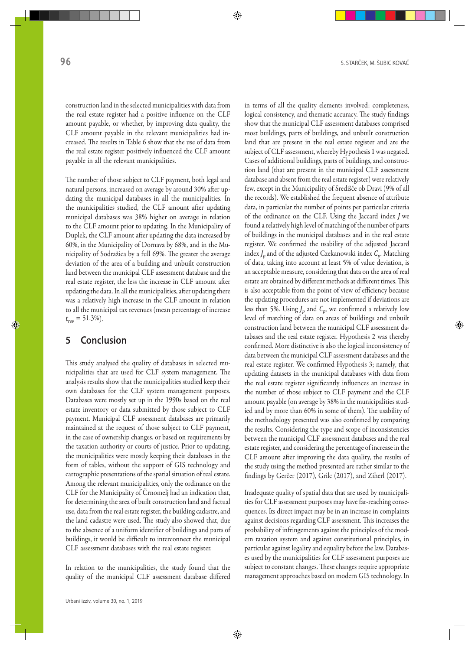construction land in the selected municipalities with data from the real estate register had a positive influence on the CLF amount payable, or whether, by improving data quality, the CLF amount payable in the relevant municipalities had increased. The results in Table 6 show that the use of data from the real estate register positively influenced the CLF amount payable in all the relevant municipalities.

The number of those subject to CLF payment, both legal and natural persons, increased on average by around 30% after updating the municipal databases in all the municipalities. In the municipalities studied, the CLF amount after updating municipal databases was 38% higher on average in relation to the CLF amount prior to updating. In the Municipality of Duplek, the CLF amount after updating the data increased by 60%, in the Municipality of Dornava by 68%, and in the Municipality of Sodražica by a full 69%. The greater the average deviation of the area of a building and unbuilt construction land between the municipal CLF assessment database and the real estate register, the less the increase in CLF amount after updating the data. In all the municipalities, after updating there was a relatively high increase in the CLF amount in relation to all the municipal tax revenues (mean percentage of increase  $t_{rev}$  = 51.3%).

# **5 Conclusion**

This study analysed the quality of databases in selected municipalities that are used for CLF system management. The analysis results show that the municipalities studied keep their own databases for the CLF system management purposes. Databases were mostly set up in the 1990s based on the real estate inventory or data submitted by those subject to CLF payment. Municipal CLF assessment databases are primarily maintained at the request of those subject to CLF payment, in the case of ownership changes, or based on requirements by the taxation authority or courts of justice. Prior to updating, the municipalities were mostly keeping their databases in the form of tables, without the support of GIS technology and cartographic presentations of the spatial situation of real estate. Among the relevant municipalities, only the ordinance on the CLF for the Municipality of Črnomelj had an indication that, for determining the area of built construction land and factual use, data from the real estate register, the building cadastre, and the land cadastre were used. The study also showed that, due to the absence of a uniform identifier of buildings and parts of buildings, it would be difficult to interconnect the municipal CLF assessment databases with the real estate register.

In relation to the municipalities, the study found that the quality of the municipal CLF assessment database differed

in terms of all the quality elements involved: completeness, logical consistency, and thematic accuracy. The study findings show that the municipal CLF assessment databases comprised most buildings, parts of buildings, and unbuilt construction land that are present in the real estate register and are the subject of CLF assessment, whereby Hypothesis 1 was negated. Cases of additional buildings, parts of buildings, and construction land (that are present in the municipal CLF assessment database and absent from the real estate register) were relatively few, except in the Municipality of Središče ob Dravi (9% of all the records). We established the frequent absence of attribute data, in particular the number of points per particular criteria of the ordinance on the CLF. Using the Jaccard index *J* we found a relatively high level of matching of the number of parts of buildings in the municipal databases and in the real estate register. We confirmed the usability of the adjusted Jaccard index *J<sub>n</sub>* and of the adjusted Czekanowski index *C<sub>n</sub>*. Matching of data, taking into account at least 5% of value deviation, is an acceptable measure, considering that data on the area of real estate are obtained by different methods at different times. This is also acceptable from the point of view of efficiency because the updating procedures are not implemented if deviations are less than 5%. Using  $J_p$  and  $C_p$ , we confirmed a relatively low level of matching of data on areas of buildings and unbuilt construction land between the municipal CLF assessment databases and the real estate register. Hypothesis 2 was thereby confirmed. More distinctive is also the logical inconsistency of data between the municipal CLF assessment databases and the real estate register. We confirmed Hypothesis 3; namely, that updating datasets in the municipal databases with data from the real estate register significantly influences an increase in the number of those subject to CLF payment and the CLF amount payable (on average by 38% in the municipalities studied and by more than 60% in some of them). The usability of the methodology presented was also confirmed by comparing the results. Considering the type and scope of inconsistencies between the municipal CLF assessment databases and the real estate register, and considering the percentage of increase in the CLF amount after improving the data quality, the results of the study using the method presented are rather similar to the findings by Gerčer (2017), Grilc (2017), and Ziherl (2017).

Inadequate quality of spatial data that are used by municipalities for CLF assessment purposes may have far-reaching consequences. Its direct impact may be in an increase in complaints against decisions regarding CLF assessment. This increases the probability of infringements against the principles of the modern taxation system and against constitutional principles, in particular against legality and equality before the law. Databases used by the municipalities for CLF assessment purposes are subject to constant changes. These changes require appropriate management approaches based on modern GIS technology. In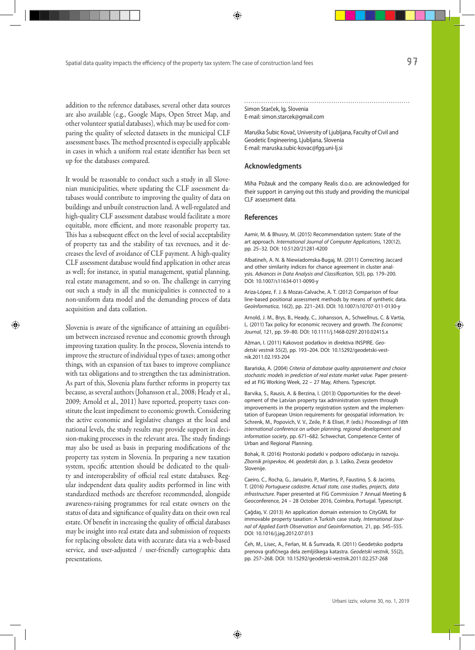addition to the reference databases, several other data sources are also available (e.g., Google Maps, Open Street Map, and other volunteer spatial databases), which may be used for comparing the quality of selected datasets in the municipal CLF assessment bases. The method presented is especially applicable in cases in which a uniform real estate identifier has been set up for the databases compared.

It would be reasonable to conduct such a study in all Slovenian municipalities, where updating the CLF assessment databases would contribute to improving the quality of data on buildings and unbuilt construction land. A well-regulated and high-quality CLF assessment database would facilitate a more equitable, more efficient, and more reasonable property tax. This has a subsequent effect on the level of social acceptability of property tax and the stability of tax revenues, and it decreases the level of avoidance of CLF payment. A high-quality CLF assessment database would find application in other areas as well; for instance, in spatial management, spatial planning, real estate management, and so on. The challenge in carrying out such a study in all the municipalities is connected to a non-uniform data model and the demanding process of data acquisition and data collation.

Slovenia is aware of the significance of attaining an equilibrium between increased revenue and economic growth through improving taxation quality. In the process, Slovenia intends to improve the structure of individual types of taxes; among other things*,* with an expansion of tax bases to improve compliance with tax obligations and to strengthen the tax administration. As part of this, Slovenia plans further reforms in property tax because, as several authors (Johansson et al., 2008; Heady et al., 2009; Arnold et al., 2011) have reported, property taxes constitute the least impediment to economic growth. Considering the active economic and legislative changes at the local and national levels, the study results may provide support in decision-making processes in the relevant area. The study findings may also be used as basis in preparing modifications of the property tax system in Slovenia. In preparing a new taxation system, specific attention should be dedicated to the quality and interoperability of official real estate databases. Regular independent data quality audits performed in line with standardized methods are therefore recommended, alongside awareness-raising programmes for real estate owners on the status of data and significance of quality data on their own real estate. Of benefit in increasing the quality of official databases may be insight into real estate data and submission of requests for replacing obsolete data with accurate data via a web-based service, and user-adjusted / user-friendly cartographic data presentations.

Simon Starček, Ig, Slovenia E-mail: simon.starcek@gmail.com

Maruška Šubic Kovač, University of Ljubljana, Faculty of Civil and Geodetic Engineering, Ljubljana, Slovenia E-mail: maruska.subic-kovac@fgg.uni-lj.si

#### **Acknowledgments**

Miha Požauk and the company Realis d.o.o. are acknowledged for their support in carrying out this study and providing the municipal CLF assessment data.

#### **References**

Aamir, M. & Bhusry, M. (2015) Recommendation system: State of the art approach. *International Journal of Computer Applications*, 120(12), pp. 25–32. DOI: 10.5120/21281-4200

Albatineh, A. N. & Niewiadomska-Bugaj, M. (2011) Correcting Jaccard and other similarity indices for chance agreement in cluster analysis. *Advances in Data Analysis and Classification*, 5(3), pp. 179–200. DOI: 10.1007/s11634-011-0090-y

Ariza-López, F. J. & Mozas-Calvache, A. T. (2012) Comparison of four line-based positional assessment methods by means of synthetic data. *GeoInformatica*, 16(2), pp. 221–243. DOI: 10.1007/s10707-011-0130-y

Arnold, J. M., Brys, B., Heady, C., Johansson, A., Schwellnus, C. & Vartia, L. (2011) Tax policy for economic recovery and growth. *The Economic Journal*, 121, pp. 59–80. DOI: 10.1111/j.1468-0297.2010.02415.x

Ažman, I. (2011) Kakovost podatkov in direktiva INSPIRE. *Geodetski vestnik* 55(2), pp. 193–204. DOI: 10.15292/geodetski-vestnik.2011.02.193-204

Barańska, A. (2004) *Criteria of database quality appraisement and choice stochastic models in prediction of real estate market value*. Paper presented at FIG Working Week, 22 – 27 May, Athens. Typescript.

Barvika, S., Rausis, A. & Berzina, I. (2013) Opportunities for the development of the Latvian property tax administration system through improvements in the property registration system and the implementation of European Union requirements for geospatial information. In: Schrenk, M., Popovich, V. V., Zeile, P. & Elisei, P. (eds.) *Proceedings of 18th international conference on urban planning, regional development and information society*, pp. 671–682. Schwechat, Competence Center of Urban and Regional Planning.

Bohak, R. (2016) Prostorski podatki v podporo odločanju in razvoju. *Zbornik prispevkov, 44. geodetski dan*, p. 3. Laško, Zveza geodetov Slovenije.

Caeiro, C., Rocha, G., Januário, P., Martins, P., Faustino, S. & Jacinto, T. (2016) *Portuguese cadastre. Actual state, case studies, projects, data infrastructure.* Paper presented at FIG Commission 7 Annual Meeting & Geoconference, 24 – 28 October 2016, Coimbra, Portugal. Typescript.

Çağdaş, V. (2013) An application domain extension to CityGML for immovable property taxation: A Turkish case study. *International Journal of Applied Earth Observation and Geoinformation,* 21, pp. 545–555. DOI: 10.1016/j.jag.2012.07.013

Čeh, M., Lisec, A., Ferlan, M. & Šumrada, R. (2011) Geodetsko podprta prenova grafičnega dela zemljiškega katastra. *Geodetski vestnik*, 55(2), pp. 257–268. DOI: 10.15292/geodetski-vestnik.2011.02.257-268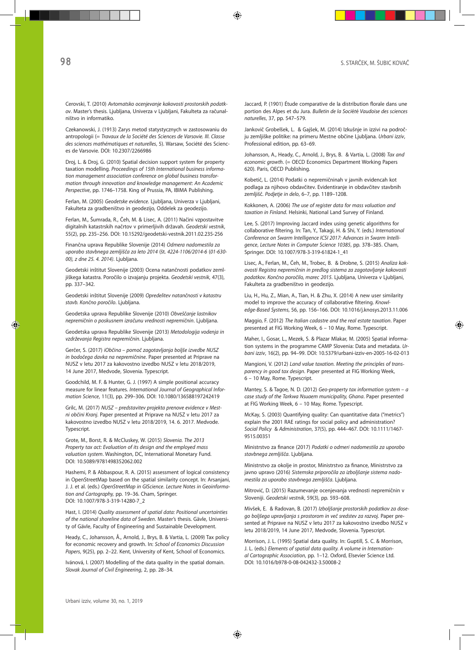Cerovski, T. (2010) *Avtomatsko ocenjevanje kakovosti prostorskih podatkov*. Master's thesis. Ljubljana, Univerza v Ljubljani, Fakulteta za računalništvo in informatiko.

Czekanowski, J. (1913) Zarys metod statystycznych w zastosowaniu do antropologii (= *Travaux de la Société des Sciences de Varsovie. III. Classe des sciences mathématiques et naturelles*, 5). Warsaw, Société des Sciences de Varsovie. DOI: 10.2307/2266986

Droj, L. & Droj, G. (2010) Spatial decision support system for property taxation modelling. *Proceedings of 15th International business information management association conference on global business transformation through innovation and knowledge management*: *An Academic Perspective*, pp. 1746–1758. King of Prussia, PA, IBIMA Publishing.

Ferlan, M. (2005) *Geodetske evidence*. Ljubljana, Univerza v Ljubljani, Fakulteta za gradbeništvo in geodezijo, Oddelek za geodezijo.

Ferlan, M., Šumrada, R., Čeh, M. & Lisec, A. (2011) Načini vzpostavitve digitalnih katastrskih načrtov v primerljivih državah. *Geodetski vestnik*, 55(2), pp. 235–256. DOI: 10.15292/geodetski-vestnik.2011.02.235-256

Finančna uprava Republike Slovenije (2014) *Odmera nadomestila za uporabo stavbnega zemljišča za leto 2014* (št*. 4224-1106/2014-6* (*01-630- 00), z dne 25. 4. 2014)*. Ljubljana.

Geodetski inštitut Slovenije (2003) Ocena natančnosti podatkov zemljiškega katastra. Poročilo o izvajanju projekta. *Geodetski vestnik*, 47(3), pp. 337–342.

Geodetski inštitut Slovenije (2009) *Opredelitev natančnosti v katastru stavb. Končno poročilo*. Ljubljana.

Geodetska uprava Republike Slovenije (2010) *Obveščanje lastnikov nepremičnin o poskusnem izračunu vrednosti nepremičnin*. Ljubljana.

Geodetska uprava Republike Slovenije (2013) *Metodologija vodenja in vzdrževanja Registra nepremičnin*. Ljubljana.

Gerčer, S. (2017) *iObčina – pomoč zagotavljanja boljše izvedbe NUSZ in bodočega davka na nepremičnine*. Paper presented at Priprave na NUSZ v letu 2017 za kakovostno izvedbo NUSZ v letu 2018/2019, 14 June 2017, Medvode, Slovenia. Typescript.

Goodchild, M. F. & Hunter, G. J. (1997) A simple positional accuracy measure for linear features. *International Journal of Geographical Information Science*, 11(3), pp. 299–306. DOI: 10.1080/136588197242419

Grilc, M. (2017) *NUSZ – predstavitev projekta prenove evidence v Mestni občini Kranj*. Paper presented at Priprave na NUSZ v letu 2017 za kakovostno izvedbo NUSZ v letu 2018/2019, 14. 6. 2017. Medvode. Typescript.

Grote, M., Borst, R. & McCluskey, W. (2015) *Slovenia. The 2013 Property tax act: Evaluation of its design and the employed mass valuation system*. Washington, DC, International Monetary Fund. DOI: 10.5089/9781498352062.002

Hashemi, P. & Abbaspour, R. A. (2015) assessment of logical consistency in OpenStreetMap based on the spatial similarity concept. In: Arsanjani, J. J. et al. (eds.) *OpenStreetMap in GIScience*. *Lecture Notes in Geoinformation and Cartography,* pp. 19–36. Cham, Springer. DOI: 10.1007/978-3-319-14280-7\_2

Hast, I. (2014) *Quality assessment of spatial data: Positional uncertainties of the national shoreline data of Sweden*. Master's thesis. Gävle, University of Gävle, Faculty of Engineering and Sustainable Development.

Heady, C., Johansson, Å., Arnold, J., Brys, B. & Vartia, L. (2009) Tax policy for economic recovery and growth. In: *School of Economics Discussion Papers*, 9(25), pp. 2–22. Kent, University of Kent, School of Economics.

Ivánová, I. (2007) Modelling of the data quality in the spatial domain. *Slovak Journal of Civil Engineering*, 2, pp. 28–34.

Jaccard, P. (1901) Étude comparative de la distribution florale dans une portion des Alpes et du Jura. *Bulletin de la Soci*é*t*é *Vaudoise des sciences naturelles*, 37, pp. 547–579.

Jankovič Grobelšek, L. & Gajšek, M. (2014) Izkušnje in izzivi na področju zemljiške politike: na primeru Mestne občine Ljubljana. *Urbani izziv*, Professional edition, pp. 63–69.

Johansson, A., Heady, C., Arnold, J., Brys, B. & Vartia, L. (2008) *Tax and economic growth*. (= OECD Economics Department Working Papers 620). Paris, OECD Publishing.

Kobetič, L. (2014) Podatki o nepremičninah v javnih evidencah kot podlaga za njihovo obdavčitev. Evidentiranje in obdavčitev stavbnih zemljišč. *Podjetje in delo*, 6–7, pp. 1189–1208.

Kokkonen, A. (2006) *The use of register data for mass valuation and taxation in Finland*. Helsinki, National Land Survey of Finland.

Lee, S. (2017) Improving Jaccard index using genetic algorithms for collaborative filtering. In: Tan, Y., Takagi, H. & Shi, Y. (eds.) *International Conference on Swarm Intelligence ICSI 2017: Advances in Swarm Intelligence*, *Lecture Notes in Computer Science 10385*, pp. 378–385. Cham, Springer. DOI: 10.1007/978-3-319-61824-1\_41

Lisec, A., Ferlan, M., Čeh, M., Trobec, B. & Drobne, S. (2015) *Analiza kakovosti Registra nepremičnin in predlog sistema za zagotavljanje kakovosti podatkov. Končno poročilo, marec 2015*. Ljubljana, Univerza v Ljubljani, Fakulteta za gradbeništvo in geodezijo.

Liu, H., Hu, Z., Mian, A., Tian, H. & Zhu, X. (2014) A new user similarity model to improve the accuracy of collaborative filtering. *Knowledge-Based Systems*, 56, pp. 156–166. DOI: 10.1016/j.knosys.2013.11.006

Maggio, F. (2012) *The Italian cadastre and the real estate taxation*. Paper presented at FIG Working Week, 6 – 10 May, Rome. Typescript.

Maher, I., Gosar, L., Mezek, S. & Plazar Mlakar, M. (2005) Spatial information systems in the programme CAMP Slovenia: Data and metadata. *Urbani izziv*, 16(2), pp. 94–99. DOI: 10.5379/urbani-izziv-en-2005-16-02-013

Mangioni, V. (2012) *Land value taxation. Meeting the principles of transparency in good tax design*. Paper presented at FIG Working Week, 6 – 10 May, Rome. Typescript.

Mantey, S. & Tagoe, N. D. (2012) *Geo-property tax information system – a case study of the Tarkwa Nsuaem municipality, Ghana*. Paper presented at FIG Working Week, 6 – 10 May, Rome. Typescript.

McKay, S. (2003) Quantifying quality: Can quantitative data ("metrics") explain the 2001 RAE ratings for social policy and administration? *Social Policy* & *Administration*, 37(5), pp. 444–467. DOI: 10.1111/1467- 9515.00351

Ministrstvo za finance (2017) *Podatki o odmeri nadomestila za uporabo stavbnega zemljišča*. Ljubljana.

Ministrstvo za okolje in prostor, Ministrstvo za finance, Ministrstvo za javno upravo (2016) *Sistemska priporočila za izboljšanje sistema nadomestila za uporabo stavbnega zemljišča*. Ljubljana.

Mitrović, D. (2015) Razumevanje ocenjevanja vrednosti nepremičnin v Sloveniji. *Geodetski vestnik*, 59(3), pp. 593–608.

Mivšek, E. & Radovan, B. (2017) *Izboljšanje prostorskih podatkov za dosego boljšega upravljanja s prostorom in več sredstev za razvoj*. Paper presented at Priprave na NUSZ v letu 2017 za kakovostno izvedbo NUSZ v letu 2018/2019, 14 June 2017, Medvode, Slovenia. Typescript.

Morrison, J. L. (1995) Spatial data quality. In: Guptill, S. C. & Morrison, J. L. (eds.) *Elements of spatial data quality. A volume in International Cartographic Association*, pp. 1–12. Oxford, Elsevier Science Ltd. DOI: 10.1016/b978-0-08-042432-3.50008-2